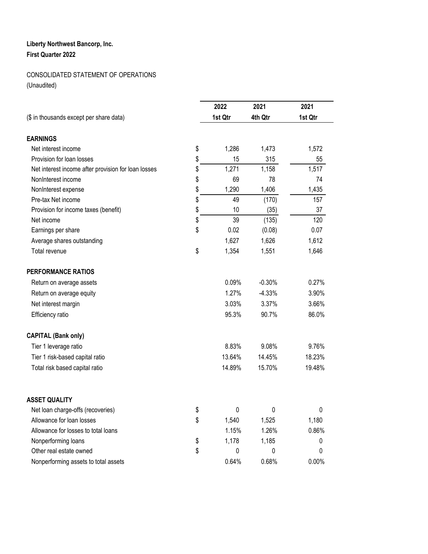## **Liberty Northwest Bancorp, Inc. First Quarter 2022**

## CONSOLIDATED STATEMENT OF OPERATIONS

(Unaudited)

| (\$ in thousands except per share data)             | 2022<br>1st Qtr | 2021<br>4th Qtr | 2021<br>1st Qtr |
|-----------------------------------------------------|-----------------|-----------------|-----------------|
| <b>EARNINGS</b>                                     |                 |                 |                 |
| Net interest income                                 | \$<br>1,286     | 1,473           | 1,572           |
| Provision for loan losses                           | \$<br>15        | 315             | 55              |
| Net interest income after provision for loan losses | \$<br>1,271     | 1,158           | 1,517           |
| NonInterest income                                  | \$<br>69        | 78              | 74              |
| NonInterest expense                                 | \$<br>1,290     | 1,406           | 1,435           |
| Pre-tax Net income                                  | \$<br>49        | (170)           | 157             |
| Provision for income taxes (benefit)                | \$<br>10        | (35)            | 37              |
| Net income                                          | \$<br>39        | (135)           | 120             |
| Earnings per share                                  | \$<br>0.02      | (0.08)          | 0.07            |
| Average shares outstanding                          | 1,627           | 1,626           | 1,612           |
| Total revenue                                       | \$<br>1,354     | 1,551           | 1,646           |
| <b>PERFORMANCE RATIOS</b>                           |                 |                 |                 |
| Return on average assets                            | 0.09%           | $-0.30%$        | 0.27%           |
| Return on average equity                            | 1.27%           | $-4.33%$        | 3.90%           |
| Net interest margin                                 | 3.03%           | 3.37%           | 3.66%           |
| Efficiency ratio                                    | 95.3%           | 90.7%           | 86.0%           |
| <b>CAPITAL (Bank only)</b>                          |                 |                 |                 |
| Tier 1 leverage ratio                               | 8.83%           | 9.08%           | 9.76%           |
| Tier 1 risk-based capital ratio                     | 13.64%          | 14.45%          | 18.23%          |
| Total risk based capital ratio                      | 14.89%          | 15.70%          | 19.48%          |
| <b>ASSET QUALITY</b>                                |                 |                 |                 |
| Net loan charge-offs (recoveries)                   | \$<br>0         | 0               | 0               |
| Allowance for loan losses                           | \$<br>1,540     | 1,525           | 1,180           |
| Allowance for losses to total loans                 | 1.15%           | 1.26%           | 0.86%           |
| Nonperforming loans                                 | \$<br>1,178     | 1,185           | 0               |
| Other real estate owned                             | \$<br>0         | 0               | 0               |
| Nonperforming assets to total assets                | 0.64%           | 0.68%           | 0.00%           |